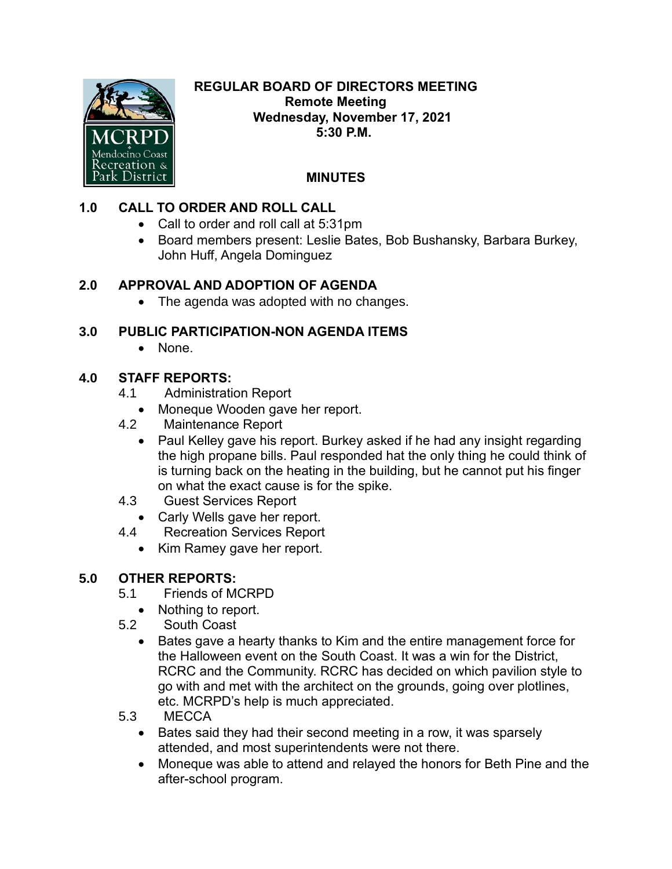

#### **REGULAR BOARD OF DIRECTORS MEETING Remote Meeting Wednesday, November 17, 2021 5:30 P.M.**

# **MINUTES**

## **1.0 CALL TO ORDER AND ROLL CALL**

- Call to order and roll call at 5:31pm
- Board members present: Leslie Bates, Bob Bushansky, Barbara Burkey, John Huff, Angela Dominguez

## **2.0 APPROVAL AND ADOPTION OF AGENDA**

• The agenda was adopted with no changes.

### **3.0 PUBLIC PARTICIPATION-NON AGENDA ITEMS**

• None.

### **4.0 STAFF REPORTS:**

- 4.1 Administration Report
	- Moneque Wooden gave her report.
- 4.2 Maintenance Report
	- Paul Kelley gave his report. Burkey asked if he had any insight regarding the high propane bills. Paul responded hat the only thing he could think of is turning back on the heating in the building, but he cannot put his finger on what the exact cause is for the spike.
- 4.3 Guest Services Report
	- Carly Wells gave her report.
- 4.4 Recreation Services Report
	- Kim Ramey gave her report.

### **5.0 OTHER REPORTS:**

- 5.1 Friends of MCRPD
	- Nothing to report.
- 5.2 South Coast
	- Bates gave a hearty thanks to Kim and the entire management force for the Halloween event on the South Coast. It was a win for the District, RCRC and the Community. RCRC has decided on which pavilion style to go with and met with the architect on the grounds, going over plotlines, etc. MCRPD's help is much appreciated.
- 5.3 MECCA
	- Bates said they had their second meeting in a row, it was sparsely attended, and most superintendents were not there.
	- Moneque was able to attend and relayed the honors for Beth Pine and the after-school program.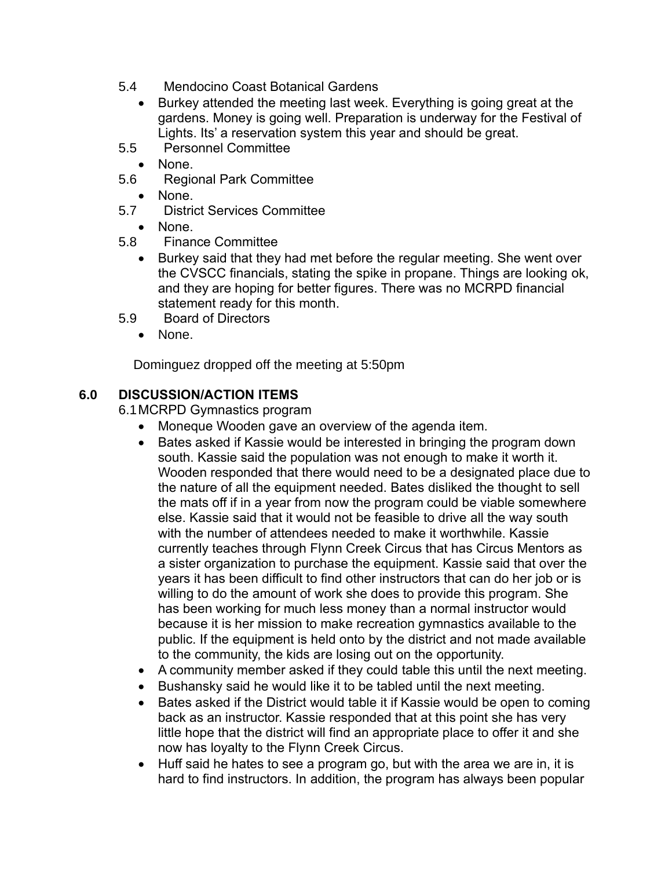- 5.4 Mendocino Coast Botanical Gardens
	- Burkey attended the meeting last week. Everything is going great at the gardens. Money is going well. Preparation is underway for the Festival of Lights. Its' a reservation system this year and should be great.
- 5.5 Personnel Committee
	- None.
- 5.6 Regional Park Committee
	- None.
- 5.7 District Services Committee
	- None.
- 5.8 Finance Committee
	- Burkey said that they had met before the regular meeting. She went over the CVSCC financials, stating the spike in propane. Things are looking ok, and they are hoping for better figures. There was no MCRPD financial statement ready for this month.
- 5.9 Board of Directors
	- None.

Dominguez dropped off the meeting at 5:50pm

## **6.0 DISCUSSION/ACTION ITEMS**

6.1MCRPD Gymnastics program

- Moneque Wooden gave an overview of the agenda item.
- Bates asked if Kassie would be interested in bringing the program down south. Kassie said the population was not enough to make it worth it. Wooden responded that there would need to be a designated place due to the nature of all the equipment needed. Bates disliked the thought to sell the mats off if in a year from now the program could be viable somewhere else. Kassie said that it would not be feasible to drive all the way south with the number of attendees needed to make it worthwhile. Kassie currently teaches through Flynn Creek Circus that has Circus Mentors as a sister organization to purchase the equipment. Kassie said that over the years it has been difficult to find other instructors that can do her job or is willing to do the amount of work she does to provide this program. She has been working for much less money than a normal instructor would because it is her mission to make recreation gymnastics available to the public. If the equipment is held onto by the district and not made available to the community, the kids are losing out on the opportunity.
- A community member asked if they could table this until the next meeting.
- Bushansky said he would like it to be tabled until the next meeting.
- Bates asked if the District would table it if Kassie would be open to coming back as an instructor. Kassie responded that at this point she has very little hope that the district will find an appropriate place to offer it and she now has loyalty to the Flynn Creek Circus.
- Huff said he hates to see a program go, but with the area we are in, it is hard to find instructors. In addition, the program has always been popular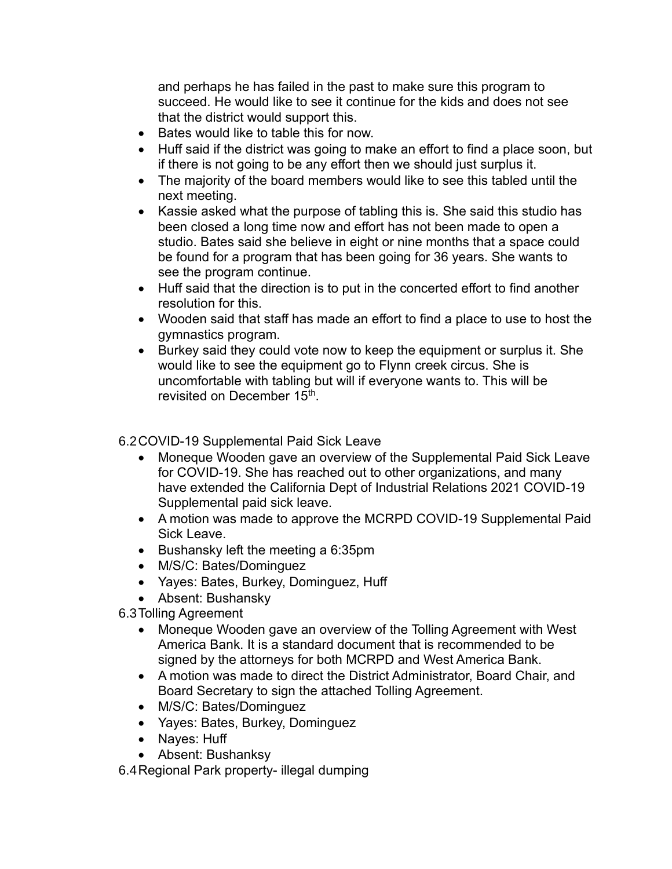and perhaps he has failed in the past to make sure this program to succeed. He would like to see it continue for the kids and does not see that the district would support this.

- Bates would like to table this for now.
- Huff said if the district was going to make an effort to find a place soon, but if there is not going to be any effort then we should just surplus it.
- The majority of the board members would like to see this tabled until the next meeting.
- Kassie asked what the purpose of tabling this is. She said this studio has been closed a long time now and effort has not been made to open a studio. Bates said she believe in eight or nine months that a space could be found for a program that has been going for 36 years. She wants to see the program continue.
- Huff said that the direction is to put in the concerted effort to find another resolution for this.
- Wooden said that staff has made an effort to find a place to use to host the gymnastics program.
- Burkey said they could vote now to keep the equipment or surplus it. She would like to see the equipment go to Flynn creek circus. She is uncomfortable with tabling but will if everyone wants to. This will be revisited on December 15<sup>th</sup>.

#### 6.2COVID-19 Supplemental Paid Sick Leave

- Moneque Wooden gave an overview of the Supplemental Paid Sick Leave for COVID-19. She has reached out to other organizations, and many have extended the California Dept of Industrial Relations 2021 COVID-19 Supplemental paid sick leave.
- A motion was made to approve the MCRPD COVID-19 Supplemental Paid Sick Leave.
- Bushansky left the meeting a 6:35pm
- M/S/C: Bates/Dominguez
- Yayes: Bates, Burkey, Dominguez, Huff
- Absent: Bushansky

6.3Tolling Agreement

- Moneque Wooden gave an overview of the Tolling Agreement with West America Bank. It is a standard document that is recommended to be signed by the attorneys for both MCRPD and West America Bank.
- A motion was made to direct the District Administrator, Board Chair, and Board Secretary to sign the attached Tolling Agreement.
- M/S/C: Bates/Dominguez
- Yayes: Bates, Burkey, Dominguez
- Nayes: Huff
- Absent: Bushanksy

6.4Regional Park property- illegal dumping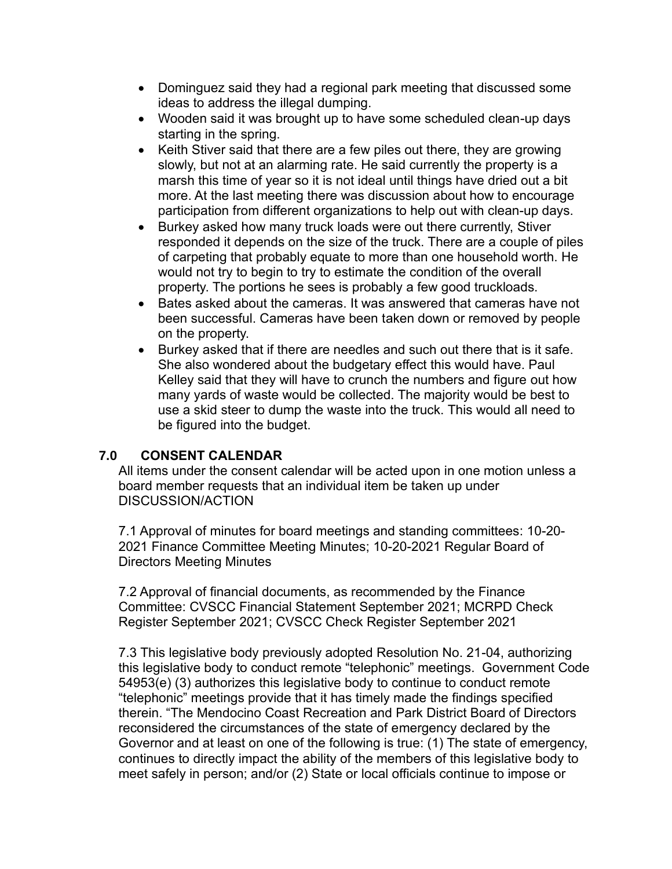- Dominguez said they had a regional park meeting that discussed some ideas to address the illegal dumping.
- Wooden said it was brought up to have some scheduled clean-up days starting in the spring.
- Keith Stiver said that there are a few piles out there, they are growing slowly, but not at an alarming rate. He said currently the property is a marsh this time of year so it is not ideal until things have dried out a bit more. At the last meeting there was discussion about how to encourage participation from different organizations to help out with clean-up days.
- Burkey asked how many truck loads were out there currently, Stiver responded it depends on the size of the truck. There are a couple of piles of carpeting that probably equate to more than one household worth. He would not try to begin to try to estimate the condition of the overall property. The portions he sees is probably a few good truckloads.
- Bates asked about the cameras. It was answered that cameras have not been successful. Cameras have been taken down or removed by people on the property.
- Burkey asked that if there are needles and such out there that is it safe. She also wondered about the budgetary effect this would have. Paul Kelley said that they will have to crunch the numbers and figure out how many yards of waste would be collected. The majority would be best to use a skid steer to dump the waste into the truck. This would all need to be figured into the budget.

### **7.0 CONSENT CALENDAR**

All items under the consent calendar will be acted upon in one motion unless a board member requests that an individual item be taken up under DISCUSSION/ACTION

7.1 Approval of minutes for board meetings and standing committees: 10-20- 2021 Finance Committee Meeting Minutes; 10-20-2021 Regular Board of Directors Meeting Minutes

7.2 Approval of financial documents, as recommended by the Finance Committee: CVSCC Financial Statement September 2021; MCRPD Check Register September 2021; CVSCC Check Register September 2021

7.3 This legislative body previously adopted Resolution No. 21-04, authorizing this legislative body to conduct remote "telephonic" meetings. Government Code 54953(e) (3) authorizes this legislative body to continue to conduct remote "telephonic" meetings provide that it has timely made the findings specified therein. "The Mendocino Coast Recreation and Park District Board of Directors reconsidered the circumstances of the state of emergency declared by the Governor and at least on one of the following is true: (1) The state of emergency, continues to directly impact the ability of the members of this legislative body to meet safely in person; and/or (2) State or local officials continue to impose or